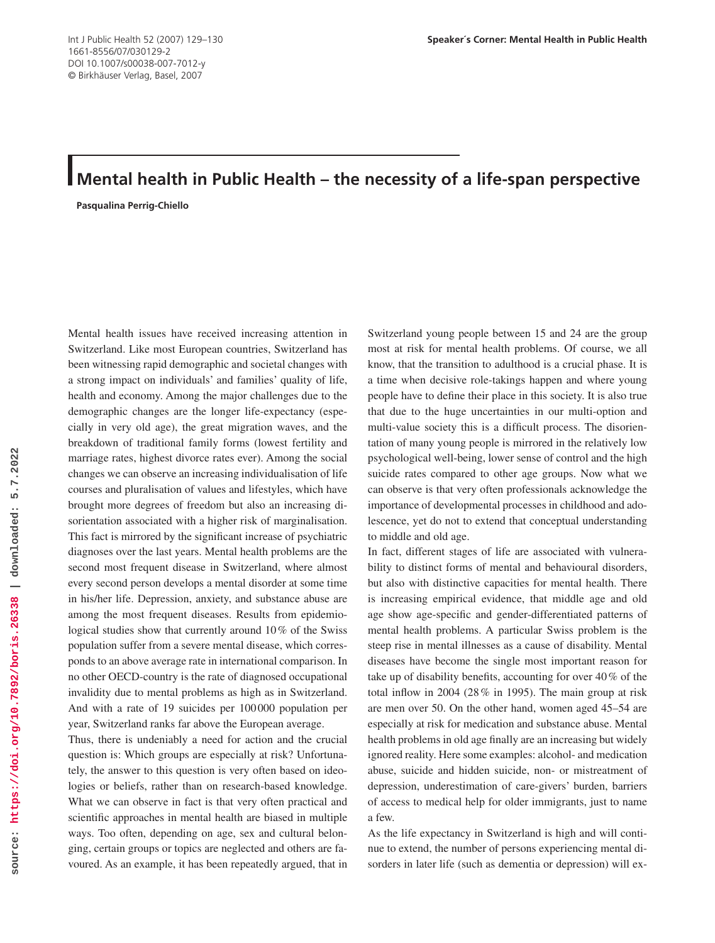## **Mental health in Public Health – the necessity of a life-span perspective**

**Pasqualina Perrig-Chiello**

Mental health issues have received increasing attention in Switzerland. Like most European countries, Switzerland has been witnessing rapid demographic and societal changes with a strong impact on individuals' and families' quality of life, health and economy. Among the major challenges due to the demographic changes are the longer life-expectancy (especially in very old age), the great migration waves, and the breakdown of traditional family forms (lowest fertility and marriage rates, highest divorce rates ever). Among the social changes we can observe an increasing individualisation of life courses and pluralisation of values and lifestyles, which have brought more degrees of freedom but also an increasing disorientation associated with a higher risk of marginalisation. This fact is mirrored by the significant increase of psychiatric diagnoses over the last years. Mental health problems are the second most frequent disease in Switzerland, where almost every second person develops a mental disorder at some time in his/her life. Depression, anxiety, and substance abuse are among the most frequent diseases. Results from epidemiological studies show that currently around 10% of the Swiss population suffer from a severe mental disease, which corresponds to an above average rate in international comparison. In no other OECD-country is the rate of diagnosed occupational invalidity due to mental problems as high as in Switzerland. And with a rate of 19 suicides per 100 000 population per year, Switzerland ranks far above the European average.

Thus, there is undeniably a need for action and the crucial question is: Which groups are especially at risk? Unfortunately, the answer to this question is very often based on ideologies or beliefs, rather than on research-based knowledge. What we can observe in fact is that very often practical and scientific approaches in mental health are biased in multiple ways. Too often, depending on age, sex and cultural belonging, certain groups or topics are neglected and others are favoured. As an example, it has been repeatedly argued, that in

Switzerland young people between 15 and 24 are the group most at risk for mental health problems. Of course, we all know, that the transition to adulthood is a crucial phase. It is a time when decisive role-takings happen and where young people have to define their place in this society. It is also true that due to the huge uncertainties in our multi-option and multi-value society this is a difficult process. The disorientation of many young people is mirrored in the relatively low psychological well-being, lower sense of control and the high suicide rates compared to other age groups. Now what we can observe is that very often professionals acknowledge the importance of developmental processes in childhood and adolescence, yet do not to extend that conceptual understanding to middle and old age.

In fact, different stages of life are associated with vulnerability to distinct forms of mental and behavioural disorders, but also with distinctive capacities for mental health. There is increasing empirical evidence, that middle age and old age show age-specific and gender-differentiated patterns of mental health problems. A particular Swiss problem is the steep rise in mental illnesses as a cause of disability. Mental diseases have become the single most important reason for take up of disability benefits, accounting for over 40 % of the total inflow in 2004 (28% in 1995). The main group at risk are men over 50. On the other hand, women aged 45–54 are especially at risk for medication and substance abuse. Mental health problems in old age finally are an increasing but widely ignored reality. Here some examples: alcohol- and medication abuse, suicide and hidden suicide, non- or mistreatment of depression, underestimation of care-givers' burden, barriers of access to medical help for older immigrants, just to name a few.

As the life expectancy in Switzerland is high and will continue to extend, the number of persons experiencing mental disorders in later life (such as dementia or depression) will ex-